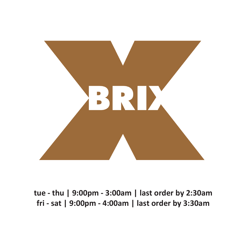

**tue - thu | 9:00pm - 3:00am | last order by 2:30am fri - sat | 9:00pm - 4:00am | last order by 3:30am**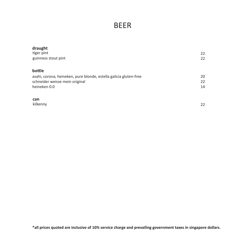## BEER

| draught                                                           |    |
|-------------------------------------------------------------------|----|
| tiger pint                                                        | 22 |
| guinness stout pint                                               | 22 |
| bottle                                                            |    |
| asahi, corona, heineken, pure blonde, estella galicia gluten-free | 20 |
| schneider weisse mein original                                    | 22 |
| heineken 0.0                                                      | 14 |
| can                                                               |    |
| kilkenny                                                          | 22 |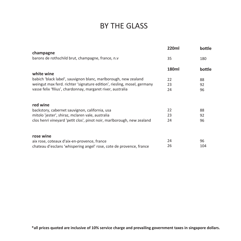# BY THE GLASS

| champagne                                                               | <b>220ml</b> | bottle |
|-------------------------------------------------------------------------|--------------|--------|
| barons de rothschild brut, champagne, france, n.v                       | 35           | 180    |
|                                                                         | 180ml        | bottle |
| white wine                                                              |              |        |
| babich 'black label', sauvignon blanc, marlborough, new zealand         | 22           | 88     |
| weingut max ferd. richter 'signature edition', riesling, mosel, germany | 23           | 92     |
| vasse felix 'filius', chardonnay, margaret river, australia             | 24           | 96     |
| red wine                                                                |              |        |
| backstory, cabernet sauvignon, california, usa                          | 22           | 88     |
| mitolo 'jester', shiraz, mclaren vale, australia                        | 23           | 92     |
| clos henri vineyard 'petit clos', pinot noir, marlborough, new zealand  | 24           | 96     |
| rose wine                                                               |              |        |
| aix rose, coteaux d'aix-en-provence, france                             | 24           | 96     |
| chateau d'esclans 'whispering angel' rose, cote de provence, france     | 26           | 104    |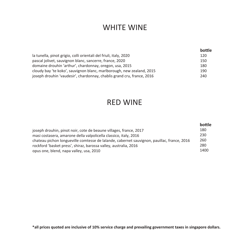#### WHITE WINE

|                                                                        | bottle |
|------------------------------------------------------------------------|--------|
| la tunella, pinot grigio, colli orientali del friuli, italy, 2020      | 120    |
| pascal jolivet, sauvignon blanc, sancerre, france, 2020                | 150    |
| domaine drouhin 'arthur', chardonnay, oregon, usa, 2015                | 180    |
| cloudy bay 'te koko', sauvignon blanc, marlborough, new zealand, 2015  | 190    |
| joseph drouhin 'vaudesir', chardonnay, chablis grand cru, france, 2016 | 240    |

#### RED WINE

|                                                                                            | bottle |
|--------------------------------------------------------------------------------------------|--------|
| joseph drouhin, pinot noir, cote de beaune villages, france, 2017                          | 180    |
| masi costasera, amarone della valpolicella classico, italy, 2016                           | 230    |
| chateau pichon longueville comtesse de lalande, cabernet sauvignon, pauillac, france, 2016 | 260    |
| rockford 'basket press', shiraz, barossa valley, australia, 2016                           | 280    |
| opus one, blend, napa valley, usa, 2010                                                    | 1400   |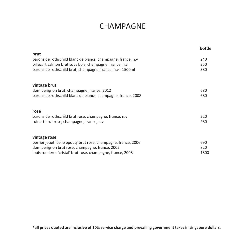#### CHAMPAGNE

|                                                                | bottle |
|----------------------------------------------------------------|--------|
| brut                                                           |        |
| barons de rothschild blanc de blancs, champagne, france, n.v   | 240    |
| billecart salmon brut sous bois, champagne, france, n.v        | 250    |
| barons de rothschild brut, champagne, france, n.v - 1500ml     | 380    |
| vintage brut                                                   |        |
| dom perignon brut, champagne, france, 2012                     | 680    |
| barons de rothschild blanc de blancs, champagne, france, 2008  | 680    |
| rose                                                           |        |
| barons de rothschild brut rose, champagne, france, n.v         | 220    |
| ruinart brut rose, champagne, france, n.v                      | 280    |
| vintage rose                                                   |        |
| perrier jouet 'belle epoug' brut rose, champagne, france, 2006 | 690    |
| dom perignon brut rose, champagne, france, 2005                | 820    |
| louis roederer 'cristal' brut rose, champagne, france, 2008    | 1800   |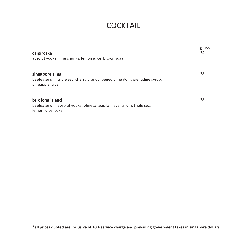#### **COCKTAIL**

| caipiroska<br>absolut vodka, lime chunks, lemon juice, brown sugar                                                | glass<br>24 |
|-------------------------------------------------------------------------------------------------------------------|-------------|
| singapore sling<br>beefeater gin, triple sec, cherry brandy, benedictine dom, grenadine syrup,<br>pineapple juice | 28          |
| brix long island<br>beefeater gin, absolut vodka, olmeca tequila, havana rum, triple sec,<br>lemon juice, coke    | 28          |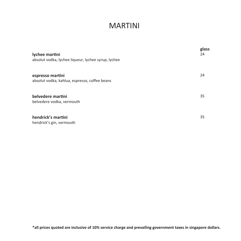#### MARTINI

| lychee martini<br>absolut vodka, lychee liqueur, lychee syrup, lychee | glass<br>24 |
|-----------------------------------------------------------------------|-------------|
| espresso martini<br>absolut vodka, kahlua, espresso, coffee beans     | 24          |
| belvedere martini<br>belvedere vodka, vermouth                        | 35          |
| hendrick's martini<br>hendrick's gin, vermouth                        | 35          |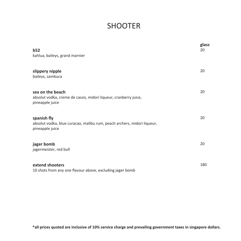## **SHOOTER**

| b52<br>kahlua, baileys, grand marnier                                                                     | glass<br>20 |
|-----------------------------------------------------------------------------------------------------------|-------------|
| slippery nipple<br>baileys, sambuca                                                                       | 20          |
| sex on the beach<br>absolut vodka, creme de cassis, midori liqueur, cranberry juice,<br>pineapple juice   | 20          |
| spanish fly<br>absolut vodka, blue curacao, malibu rum, peach archers, midori liqueur,<br>pineapple juice | 20          |
| jager bomb<br>jagermeister, red bull                                                                      | 20          |
| extend shooters<br>10 shots from any one flavour above, excluding jager bomb                              | 180         |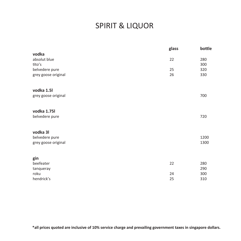# SPIRIT & LIQUOR

|                     | glass | bottle |
|---------------------|-------|--------|
| vodka               |       |        |
| absolut blue        | 22    | 280    |
| tito's              |       | 300    |
| belvedere pure      | 25    | 320    |
| grey goose original | 26    | 330    |
|                     |       |        |
|                     |       |        |
| vodka 1.5l          |       |        |
| grey goose original |       | 700    |
|                     |       |        |
| vodka 1.75l         |       |        |
|                     |       |        |
| belvedere pure      |       | 720    |
|                     |       |        |
| vodka 31            |       |        |
| belvedere pure      |       | 1200   |
| grey goose original |       | 1300   |
|                     |       |        |
|                     |       |        |
| gin                 |       |        |
| beefeater           | 22    | 280    |
| tanqueray           |       | 290    |
| roku                | 24    | 300    |
| hendrick's          | 25    | 310    |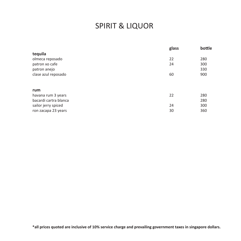# SPIRIT & LIQUOR

| glass | bottle |
|-------|--------|
|       |        |
| 22    | 280    |
| 24    | 300    |
|       | 330    |
| 60    | 900    |
|       |        |
|       |        |
| 22    | 280    |
|       | 280    |
| 24    | 300    |
| 30    | 360    |
|       |        |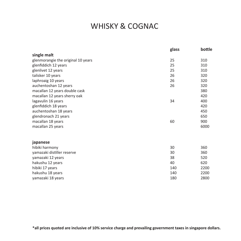## WHISKY & COGNAC

|                                    | glass | bottle |
|------------------------------------|-------|--------|
| single malt                        |       |        |
| glenmorangie the original 10 years | 25    | 310    |
| glenfiddich 12 years               | 25    | 310    |
| glenlivet 12 years                 | 25    | 310    |
| talisker 10 years                  | 26    | 320    |
| laphroaig 10 years                 | 26    | 320    |
| auchentoshan 12 years              | 26    | 320    |
| macallan 12 years double cask      |       | 380    |
| macallan 12 years sherry oak       |       | 420    |
| lagavulin 16 years                 | 34    | 400    |
| glenfiddich 18 years               |       | 420    |
| auchentoshan 18 years              |       | 450    |
| glendronach 21 years               |       | 650    |
| macallan 18 years                  | 60    | 900    |
| macallan 25 years                  |       | 6000   |
| japanese                           |       |        |
| hibiki harmony                     | 30    | 360    |
| yamazaki distiller reserve         | 30    | 360    |
| yamazaki 12 years                  | 38    | 520    |
| hakushu 12 years                   | 40    | 620    |
| hibiki 17 years                    | 140   | 2200   |
| hakushu 18 years                   | 140   | 2200   |
| yamazaki 18 years                  | 180   | 2800   |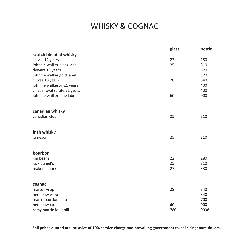## WHISKY & COGNAC

|                              | glass | bottle |
|------------------------------|-------|--------|
| scotch blended whisky        |       |        |
| chivas 12 years              | 22    | 280    |
| johnnie walker black label   | 25    | 310    |
| dewars 15 years              |       | 320    |
| johnnie walker gold label    |       | 320    |
| chivas 18 years              | 28    | 340    |
| johnnie walker xr 21 years   |       | 400    |
| chivas royal salute 21 years |       | 400    |
| johnnie walker blue label    | 60    | 900    |
|                              |       |        |
| canadian whisky              |       |        |
| canadian club                | 25    | 310    |
|                              |       |        |
| irish whisky                 |       |        |
| jameson                      | 25    | 310    |
|                              |       |        |
| bourbon                      |       |        |
| jim beam                     | 22    | 280    |
| jack daniel's                | 25    | 310    |
| maker's mark                 | 27    | 330    |
|                              |       |        |
| cognac                       |       |        |
| martell vsop                 | 28    | 340    |
| hennessy vsop                |       | 340    |
| martell cordon bleu          |       | 700    |
| hennessy xo                  | 60    | 900    |
| remy martin louis xiii       | 780   | 9998   |